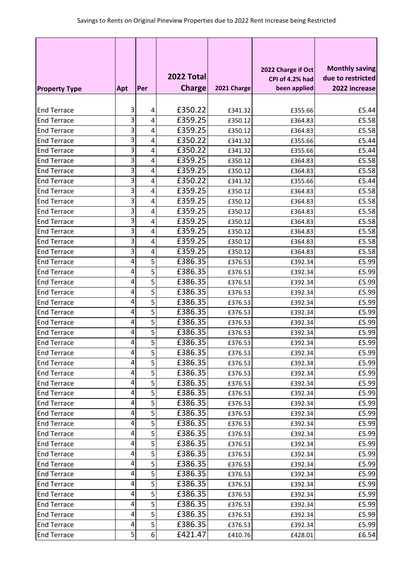|                      |                  |                |               |             |                                       | <b>Monthly saving</b> |
|----------------------|------------------|----------------|---------------|-------------|---------------------------------------|-----------------------|
|                      |                  |                | 2022 Total    |             | 2022 Charge if Oct<br>CPI of 4.2% had | due to restricted     |
| <b>Property Type</b> | Apt              | Per            | <b>Charge</b> | 2021 Charge | been applied                          | 2022 increase         |
|                      |                  |                |               |             |                                       |                       |
| <b>End Terrace</b>   | 3                | 4              | £350.22       | £341.32     | £355.66                               | £5.44                 |
| <b>End Terrace</b>   | 3                | 4              | £359.25       | £350.12     | £364.83                               | £5.58                 |
| <b>End Terrace</b>   | 3                | 4              | £359.25       | £350.12     | £364.83                               | £5.58                 |
| <b>End Terrace</b>   | 3                | 4              | £350.22       | £341.32     | £355.66                               | £5.44                 |
| <b>End Terrace</b>   | 3                | 4              | £350.22       | £341.32     | £355.66                               | £5.44                 |
| <b>End Terrace</b>   | 3                | 4              | £359.25       | £350.12     | £364.83                               | £5.58                 |
| <b>End Terrace</b>   | 3                | 4              | £359.25       | £350.12     | £364.83                               | £5.58                 |
| <b>End Terrace</b>   | 3                | 4              | £350.22       | £341.32     | £355.66                               | £5.44                 |
| <b>End Terrace</b>   | 3                | 4              | £359.25       | £350.12     | £364.83                               | £5.58                 |
| <b>End Terrace</b>   | 3                | 4              | £359.25       | £350.12     | £364.83                               | £5.58                 |
| <b>End Terrace</b>   | 3                | 4              | £359.25       | £350.12     | £364.83                               | £5.58                 |
| <b>End Terrace</b>   | 3                | 4              | £359.25       | £350.12     | £364.83                               | £5.58                 |
| <b>End Terrace</b>   | 3                | 4              | £359.25       | £350.12     | £364.83                               | £5.58                 |
| <b>End Terrace</b>   | 3                | 4              | £359.25       | £350.12     | £364.83                               | £5.58                 |
| <b>End Terrace</b>   | 3                | 4              | £359.25       | £350.12     | £364.83                               | £5.58                 |
| <b>End Terrace</b>   | 4                | 5              | £386.35       | £376.53     | £392.34                               | £5.99                 |
| <b>End Terrace</b>   | 4                | 5              | £386.35       | £376.53     | £392.34                               | £5.99                 |
| <b>End Terrace</b>   | 4                | 5              | £386.35       | £376.53     | £392.34                               | £5.99                 |
| <b>End Terrace</b>   | 4                | 5              | £386.35       | £376.53     | £392.34                               | £5.99                 |
| <b>End Terrace</b>   | 4                | 5              | £386.35       | £376.53     | £392.34                               | £5.99                 |
| <b>End Terrace</b>   | 4                | 5              | £386.35       | £376.53     | £392.34                               | £5.99                 |
| <b>End Terrace</b>   | 4                | 5              | £386.35       | £376.53     | £392.34                               | £5.99                 |
| <b>End Terrace</b>   | 4                | 5              | £386.35       | £376.53     | £392.34                               | £5.99                 |
| <b>End Terrace</b>   | 4                | 5              | £386.35       | £376.53     | £392.34                               | £5.99                 |
| <b>End Terrace</b>   | $\boldsymbol{4}$ | $\overline{5}$ | £386.35       | £376.53     | £392.34                               | £5.99                 |
| <b>End Terrace</b>   | 4                | 5              | £386.35       | £376.53     | £392.34                               | £5.99                 |
| <b>End Terrace</b>   | 4                | 5              | £386.35       | £376.53     | £392.34                               | £5.99                 |
| <b>End Terrace</b>   | 4                | 5              | £386.35       | £376.53     | £392.34                               | £5.99                 |
| <b>End Terrace</b>   | 4                | 5              | £386.35       | £376.53     | £392.34                               | £5.99                 |
| <b>End Terrace</b>   | 4                | 5              | £386.35       | £376.53     | £392.34                               | £5.99                 |
| <b>End Terrace</b>   | 4                | 5              | £386.35       | £376.53     | £392.34                               | £5.99                 |
| <b>End Terrace</b>   | 4                | 5              | £386.35       | £376.53     | £392.34                               | £5.99                 |
| <b>End Terrace</b>   | 4                | 5              | £386.35       | £376.53     | £392.34                               | £5.99                 |
| <b>End Terrace</b>   | 4                | 5              | £386.35       | £376.53     | £392.34                               | £5.99                 |
| <b>End Terrace</b>   | 4                | 5              | £386.35       | £376.53     | £392.34                               | £5.99                 |
| <b>End Terrace</b>   | 4                | 5              | £386.35       | £376.53     | £392.34                               | £5.99                 |
| <b>End Terrace</b>   | 4                | 5              | £386.35       | £376.53     | £392.34                               | £5.99                 |
| <b>End Terrace</b>   | 4                | 5              | £386.35       | £376.53     | £392.34                               | £5.99                 |
| <b>End Terrace</b>   | 4                | 5              | £386.35       | £376.53     | £392.34                               | £5.99                 |
| <b>End Terrace</b>   | 4                | 5              | £386.35       | £376.53     | £392.34                               | £5.99                 |
| <b>End Terrace</b>   | 4                | 5              | £386.35       | £376.53     | £392.34                               | £5.99                 |
| <b>End Terrace</b>   | 4                | 5              | £386.35       | £376.53     | £392.34                               | £5.99                 |
| <b>End Terrace</b>   | $\overline{5}$   | 6              | £421.47       | £410.76     | £428.01                               | £6.54                 |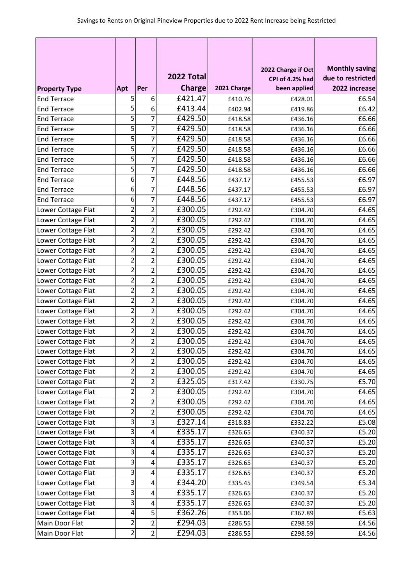|                      |                         |                | 2022 Total    |             | 2022 Charge if Oct<br>CPI of 4.2% had | <b>Monthly saving</b><br>due to restricted |
|----------------------|-------------------------|----------------|---------------|-------------|---------------------------------------|--------------------------------------------|
| <b>Property Type</b> | Apt                     | Per            | <b>Charge</b> | 2021 Charge | been applied                          | 2022 increase                              |
| <b>End Terrace</b>   | 5                       | 6              | £421.47       | £410.76     | £428.01                               | £6.54                                      |
| <b>End Terrace</b>   | 5                       | 6              | £413.44       | £402.94     | £419.86                               | £6.42                                      |
| <b>End Terrace</b>   | 5                       | $\overline{7}$ | £429.50       | £418.58     | £436.16                               | £6.66                                      |
| <b>End Terrace</b>   | 5                       | 7              | £429.50       | £418.58     | £436.16                               | £6.66                                      |
| <b>End Terrace</b>   | 5                       | 7              | £429.50       | £418.58     | £436.16                               | £6.66                                      |
| <b>End Terrace</b>   | 5                       | 7              | £429.50       | £418.58     | £436.16                               | £6.66                                      |
| <b>End Terrace</b>   | 5                       | 7              | £429.50       | £418.58     | £436.16                               | £6.66                                      |
| <b>End Terrace</b>   | 5                       | 7              | £429.50       | £418.58     | £436.16                               | £6.66                                      |
| <b>End Terrace</b>   | 6                       | 7              | £448.56       | £437.17     | £455.53                               | £6.97                                      |
| <b>End Terrace</b>   | 6                       | 7              | £448.56       | £437.17     | £455.53                               | £6.97                                      |
| <b>End Terrace</b>   | 6                       | 7              | £448.56       | £437.17     | £455.53                               | £6.97                                      |
| Lower Cottage Flat   | $\overline{2}$          | $\overline{2}$ | £300.05       | £292.42     | £304.70                               | £4.65                                      |
| Lower Cottage Flat   | $\overline{2}$          | $\overline{2}$ | £300.05       | £292.42     | £304.70                               | £4.65                                      |
| Lower Cottage Flat   | $\overline{2}$          | $\overline{2}$ | £300.05       | £292.42     | £304.70                               | £4.65                                      |
| Lower Cottage Flat   | $\overline{2}$          | $\overline{2}$ | £300.05       | £292.42     | £304.70                               | £4.65                                      |
| Lower Cottage Flat   | $\overline{2}$          | $\overline{c}$ | £300.05       | £292.42     | £304.70                               | £4.65                                      |
| Lower Cottage Flat   | $\overline{2}$          | $\overline{c}$ | £300.05       | £292.42     | £304.70                               | £4.65                                      |
| Lower Cottage Flat   | $\overline{2}$          | $\overline{2}$ | £300.05       | £292.42     | £304.70                               | £4.65                                      |
| Lower Cottage Flat   | $\overline{2}$          | $\overline{2}$ | £300.05       | £292.42     | £304.70                               | £4.65                                      |
| Lower Cottage Flat   | $\overline{2}$          | $\overline{2}$ | £300.05       | £292.42     | £304.70                               | £4.65                                      |
| Lower Cottage Flat   | $\overline{2}$          | $\overline{2}$ | £300.05       | £292.42     | £304.70                               | £4.65                                      |
| Lower Cottage Flat   | $\overline{2}$          | $\overline{2}$ | £300.05       | £292.42     | £304.70                               | £4.65                                      |
| Lower Cottage Flat   | $\overline{2}$          | $\overline{2}$ | £300.05       | £292.42     | £304.70                               | £4.65                                      |
| Lower Cottage Flat   | 2                       | $\overline{2}$ | £300.05       | £292.42     | £304.70                               | £4.65                                      |
| Lower Cottage Flat   | $\overline{2}$          | $\overline{2}$ | £300.05       | £292.42     | £304.70                               | £4.65                                      |
| Lower Cottage Flat   | $\overline{z}$          | $\overline{2}$ | £300.05       | £292.42     | £304.70                               | £4.65                                      |
| Lower Cottage Flat   | $\overline{2}$          | $\overline{2}$ | £300.05       | £292.42     | £304.70                               | £4.65                                      |
| Lower Cottage Flat   | $\overline{2}$          | 2              | £300.05       | £292.42     | £304.70                               | £4.65                                      |
| Lower Cottage Flat   | $\overline{\mathbf{c}}$ | $\overline{2}$ | £325.05       | £317.42     | £330.75                               | £5.70                                      |
| Lower Cottage Flat   | $\overline{c}$          | 2              | £300.05       | £292.42     | £304.70                               | £4.65                                      |
| Lower Cottage Flat   | $\overline{c}$          | $\overline{2}$ | £300.05       | £292.42     | £304.70                               | £4.65                                      |
| Lower Cottage Flat   | $\overline{2}$          | $\overline{2}$ | £300.05       | £292.42     | £304.70                               | £4.65                                      |
| Lower Cottage Flat   | 3                       | 3              | £327.14       | £318.83     | £332.22                               | £5.08                                      |
| Lower Cottage Flat   | 3                       | 4              | £335.17       | £326.65     | £340.37                               | £5.20                                      |
| Lower Cottage Flat   | 3                       | 4              | £335.17       | £326.65     | £340.37                               | £5.20                                      |
| Lower Cottage Flat   | 3                       | 4              | £335.17       | £326.65     | £340.37                               | £5.20                                      |
| Lower Cottage Flat   | 3                       | 4              | £335.17       | £326.65     | £340.37                               | £5.20                                      |
| Lower Cottage Flat   | 3                       | 4              | £335.17       | £326.65     | £340.37                               | £5.20                                      |
| Lower Cottage Flat   | 3                       | 4              | £344.20       | £335.45     | £349.54                               | £5.34                                      |
| Lower Cottage Flat   | 3                       | 4              | £335.17       | £326.65     | £340.37                               | £5.20                                      |
| Lower Cottage Flat   | 3                       | 4              | £335.17       | £326.65     | £340.37                               | £5.20                                      |
| Lower Cottage Flat   | $\overline{4}$          | 5              | £362.26       | £353.06     | £367.89                               | £5.63                                      |
| Main Door Flat       | 2                       | 2              | £294.03       | £286.55     | £298.59                               | £4.56                                      |
| Main Door Flat       | $\overline{2}$          | $\overline{2}$ | £294.03       | £286.55     | £298.59                               | £4.56                                      |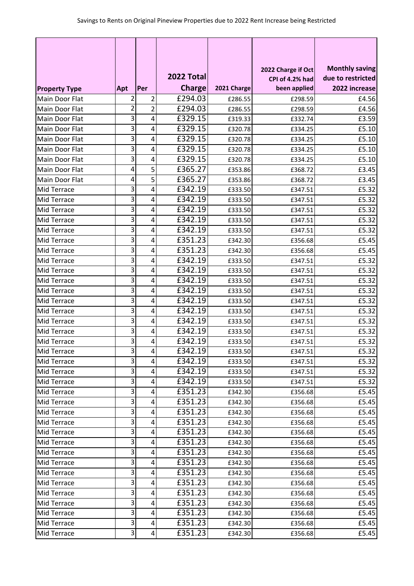|                      |              |                 |               |             |                                       | <b>Monthly saving</b> |
|----------------------|--------------|-----------------|---------------|-------------|---------------------------------------|-----------------------|
|                      |              |                 | 2022 Total    |             | 2022 Charge if Oct<br>CPI of 4.2% had | due to restricted     |
| <b>Property Type</b> | Apt          | Per             | <b>Charge</b> | 2021 Charge | been applied                          | 2022 increase         |
| Main Door Flat       | 2            | $\overline{2}$  | £294.03       | £286.55     | £298.59                               | £4.56                 |
| Main Door Flat       | 2            | $\overline{2}$  | £294.03       | £286.55     | £298.59                               | £4.56                 |
| Main Door Flat       | 3            | 4               | £329.15       | £319.33     | £332.74                               | £3.59                 |
| Main Door Flat       | 3            | 4               | £329.15       | £320.78     | £334.25                               | £5.10                 |
| Main Door Flat       | 3            | 4               | £329.15       | £320.78     | £334.25                               | £5.10                 |
| Main Door Flat       | 3            | 4               | £329.15       | £320.78     | £334.25                               | £5.10                 |
| Main Door Flat       | 3            | 4               | £329.15       | £320.78     | £334.25                               | £5.10                 |
| Main Door Flat       | 4            | 5               | £365.27       | £353.86     | £368.72                               | £3.45                 |
| Main Door Flat       | 4            | 5               | £365.27       | £353.86     | £368.72                               | £3.45                 |
| Mid Terrace          | 3            | 4               | £342.19       | £333.50     | £347.51                               | £5.32                 |
| Mid Terrace          | 3            | 4               | £342.19       | £333.50     | £347.51                               | £5.32                 |
| Mid Terrace          | 3            | 4               | £342.19       | £333.50     | £347.51                               | £5.32                 |
| Mid Terrace          | 3            | 4               | £342.19       | £333.50     | £347.51                               | £5.32                 |
| Mid Terrace          | 3            | 4               | £342.19       | £333.50     | £347.51                               | £5.32                 |
| Mid Terrace          | 3            | 4               | £351.23       | £342.30     | £356.68                               | £5.45                 |
| Mid Terrace          | 3            | 4               | £351.23       | £342.30     | £356.68                               | £5.45                 |
| Mid Terrace          | 3            | 4               | £342.19       | £333.50     | £347.51                               | £5.32                 |
| Mid Terrace          | 3            | 4               | £342.19       | £333.50     | £347.51                               | £5.32                 |
| Mid Terrace          | 3            | 4               | £342.19       | £333.50     | £347.51                               | £5.32                 |
| Mid Terrace          | 3            | 4               | £342.19       | £333.50     | £347.51                               | £5.32                 |
| Mid Terrace          | 3            | 4               | £342.19       | £333.50     | £347.51                               | £5.32                 |
| <b>Mid Terrace</b>   | 3            | 4               | £342.19       | £333.50     | £347.51                               | £5.32                 |
| Mid Terrace          | 3            | 4               | £342.19       | £333.50     | £347.51                               | £5.32                 |
| Mid Terrace          | 3            | 4               | £342.19       | £333.50     | £347.51                               | £5.32                 |
| Mid Terrace          | 3            | 4               | £342.19       | £333.50     | £347.51                               | £5.32                 |
| <b>Mid Terrace</b>   | $\mathbf{3}$ | 4               | £342.19       | £333.50     | £347.51                               | £5.32                 |
| Mid Terrace          | 3            | 4               | £342.19       | £333.50     | £347.51                               | £5.32                 |
| <b>Mid Terrace</b>   | 3            | 4               | £342.19       | £333.50     | £347.51                               | £5.32                 |
| Mid Terrace          | 3            | 4               | £342.19       | £333.50     | £347.51                               | £5.32                 |
| Mid Terrace          | 3            | 4               | £351.23       | £342.30     | £356.68                               | £5.45                 |
| Mid Terrace          | 3            | 4               | £351.23       | £342.30     | £356.68                               | £5.45                 |
| Mid Terrace          | 3            | 4               | £351.23       | £342.30     | £356.68                               | £5.45                 |
| Mid Terrace          | 3            | 4               | £351.23       | £342.30     | £356.68                               | £5.45                 |
| Mid Terrace          | 3            | 4               | £351.23       | £342.30     | £356.68                               | £5.45                 |
| Mid Terrace          | 3            | 4               | £351.23       | £342.30     | £356.68                               | £5.45                 |
| Mid Terrace          | 3            | 4               | £351.23       | £342.30     | £356.68                               | £5.45                 |
| Mid Terrace          | 3            | 4               | £351.23       | £342.30     | £356.68                               | £5.45                 |
| Mid Terrace          | 3            | 4               | £351.23       | £342.30     | £356.68                               | £5.45                 |
| Mid Terrace          | 3            | 4               | £351.23       | £342.30     | £356.68                               | £5.45                 |
| Mid Terrace          | 3            | 4               | £351.23       | £342.30     | £356.68                               | £5.45                 |
| Mid Terrace          | 3            | 4               | £351.23       | £342.30     | £356.68                               | £5.45                 |
| Mid Terrace          | 3            | 4               | £351.23       | £342.30     | £356.68                               | £5.45                 |
| Mid Terrace          | 3            | 4               | £351.23       | £342.30     | £356.68                               | £5.45                 |
| Mid Terrace          | 3            | $\vert 4 \vert$ | £351.23       | £342.30     | £356.68                               | £5.45                 |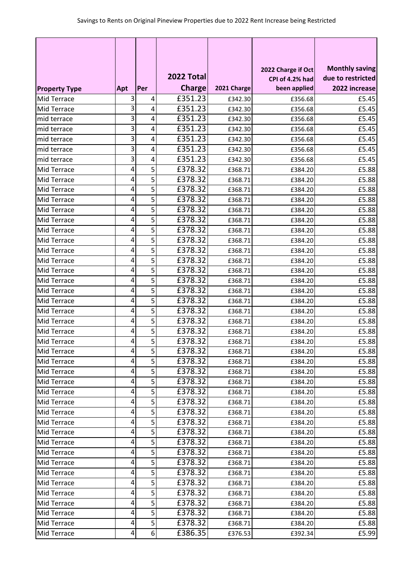|                      |                |                |               |             |                                       | <b>Monthly saving</b> |
|----------------------|----------------|----------------|---------------|-------------|---------------------------------------|-----------------------|
|                      |                |                | 2022 Total    |             | 2022 Charge if Oct<br>CPI of 4.2% had | due to restricted     |
| <b>Property Type</b> | Apt            | Per            | <b>Charge</b> | 2021 Charge | been applied                          | 2022 increase         |
| Mid Terrace          | 3              | 4              | £351.23       | £342.30     | £356.68                               | £5.45                 |
| Mid Terrace          | 3              | 4              | £351.23       | £342.30     | £356.68                               | £5.45                 |
| mid terrace          | 3              | 4              | £351.23       | £342.30     | £356.68                               | £5.45                 |
| mid terrace          | 3              | 4              | £351.23       | £342.30     | £356.68                               | £5.45                 |
| mid terrace          | 3              | 4              | £351.23       | £342.30     | £356.68                               | £5.45                 |
| mid terrace          | 3              | 4              | £351.23       | £342.30     | £356.68                               | £5.45                 |
| mid terrace          | 3              | 4              | £351.23       | £342.30     | £356.68                               | £5.45                 |
| Mid Terrace          | 4              | 5              | £378.32       | £368.71     | £384.20                               | £5.88                 |
| Mid Terrace          | 4              | 5              | £378.32       | £368.71     | £384.20                               | £5.88                 |
| Mid Terrace          | 4              | 5              | £378.32       | £368.71     | £384.20                               | £5.88                 |
| Mid Terrace          | 4              | 5              | £378.32       | £368.71     | £384.20                               | £5.88                 |
| Mid Terrace          | 4              | 5              | £378.32       | £368.71     | £384.20                               | £5.88                 |
| Mid Terrace          | 4              | 5              | £378.32       | £368.71     | £384.20                               | £5.88                 |
| Mid Terrace          | 4              | 5              | £378.32       | £368.71     | £384.20                               | £5.88                 |
| Mid Terrace          | 4              | 5              | £378.32       | £368.71     | £384.20                               | £5.88                 |
| Mid Terrace          | 4              | 5              | £378.32       | £368.71     | £384.20                               | £5.88                 |
| Mid Terrace          | 4              | 5              | £378.32       | £368.71     | £384.20                               | £5.88                 |
| Mid Terrace          | 4              | 5              | £378.32       | £368.71     | £384.20                               | £5.88                 |
| Mid Terrace          | 4              | 5              | £378.32       | £368.71     | £384.20                               | £5.88                 |
| Mid Terrace          | 4              | 5              | £378.32       | £368.71     | £384.20                               | £5.88                 |
| Mid Terrace          | 4              | 5              | £378.32       | £368.71     | £384.20                               | £5.88                 |
| <b>Mid Terrace</b>   | 4              | 5              | £378.32       | £368.71     | £384.20                               | £5.88                 |
| Mid Terrace          | 4              | 5              | £378.32       | £368.71     | £384.20                               | £5.88                 |
| Mid Terrace          | 4              | 5              | £378.32       | £368.71     | £384.20                               | £5.88                 |
| Mid Terrace          | 4              | 5              | £378.32       | £368.71     | £384.20                               | £5.88                 |
| <b>Mid Terrace</b>   | 4 <sup>1</sup> | 5              | £378.32       | £368.71     | £384.20                               | £5.88                 |
| Mid Terrace          | 4              | 5              | £378.32       | £368.71     | £384.20                               | £5.88                 |
| <b>Mid Terrace</b>   | 4              | 5              | £378.32       | £368.71     | £384.20                               | £5.88                 |
| Mid Terrace          | 4              | 5              | £378.32       | £368.71     | £384.20                               | £5.88                 |
| Mid Terrace          | 4              | 5              | £378.32       | £368.71     | £384.20                               | £5.88                 |
| Mid Terrace          | 4              | 5              | £378.32       | £368.71     | £384.20                               | £5.88                 |
| Mid Terrace          | 4              | 5              | £378.32       | £368.71     | £384.20                               | £5.88                 |
| Mid Terrace          | 4              | 5              | £378.32       | £368.71     | £384.20                               | £5.88                 |
| Mid Terrace          | 4              | 5              | £378.32       | £368.71     | £384.20                               | £5.88                 |
| Mid Terrace          | 4              | 5              | £378.32       | £368.71     | £384.20                               | £5.88                 |
| Mid Terrace          | 4              | 5              | £378.32       | £368.71     | £384.20                               | £5.88                 |
| Mid Terrace          | 4              | 5              | £378.32       | £368.71     | £384.20                               | £5.88                 |
| Mid Terrace          | 4              | 5              | £378.32       | £368.71     | £384.20                               | £5.88                 |
| Mid Terrace          | 4              | 5              | £378.32       | £368.71     | £384.20                               | £5.88                 |
| Mid Terrace          | 4              | 5              | £378.32       | £368.71     | £384.20                               | £5.88                 |
| Mid Terrace          | 4              | 5              | £378.32       | £368.71     | £384.20                               | £5.88                 |
| Mid Terrace          | 4              | 5              | £378.32       | £368.71     | £384.20                               | £5.88                 |
| Mid Terrace          | 4              | 5              | E378.32       | £368.71     | £384.20                               | £5.88                 |
| Mid Terrace          | $\pmb{4}$      | 6 <sup>1</sup> | £386.35       | £376.53     | £392.34                               | £5.99                 |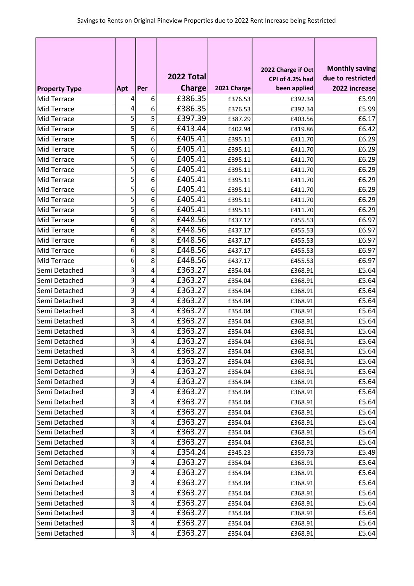|                      |     |     |               |             |                                       | <b>Monthly saving</b> |
|----------------------|-----|-----|---------------|-------------|---------------------------------------|-----------------------|
|                      |     |     | 2022 Total    |             | 2022 Charge if Oct<br>CPI of 4.2% had | due to restricted     |
| <b>Property Type</b> | Apt | Per | <b>Charge</b> | 2021 Charge | been applied                          | 2022 increase         |
| Mid Terrace          | 4   | 6   | £386.35       | £376.53     | £392.34                               | £5.99                 |
| Mid Terrace          | 4   | 6   | £386.35       | £376.53     | £392.34                               | £5.99                 |
| Mid Terrace          | 5   | 5   | £397.39       | £387.29     | £403.56                               | £6.17                 |
| Mid Terrace          | 5   | 6   | £413.44       | £402.94     | £419.86                               | £6.42                 |
| Mid Terrace          | 5   | 6   | £405.41       | £395.11     | £411.70                               | £6.29                 |
| Mid Terrace          | 5   | 6   | £405.41       | £395.11     | £411.70                               | £6.29                 |
| Mid Terrace          | 5   | 6   | £405.41       | £395.11     | £411.70                               | £6.29                 |
| Mid Terrace          | 5   | 6   | £405.41       | £395.11     | £411.70                               | £6.29                 |
| Mid Terrace          | 5   | 6   | £405.41       | £395.11     | £411.70                               | £6.29                 |
| Mid Terrace          | 5   | 6   | £405.41       | £395.11     | £411.70                               | £6.29                 |
| Mid Terrace          | 5   | 6   | £405.41       | £395.11     | £411.70                               | £6.29                 |
| Mid Terrace          | 5   | 6   | £405.41       | £395.11     | £411.70                               | £6.29                 |
| Mid Terrace          | 6   | 8   | £448.56       | £437.17     | £455.53                               | £6.97                 |
| Mid Terrace          | 6   | 8   | £448.56       | £437.17     | £455.53                               | £6.97                 |
| Mid Terrace          | 6   | 8   | £448.56       | £437.17     | £455.53                               | £6.97                 |
| Mid Terrace          | 6   | 8   | £448.56       | £437.17     | £455.53                               | £6.97                 |
| Mid Terrace          | 6   | 8   | £448.56       | £437.17     | £455.53                               | £6.97                 |
| Semi Detached        | 3   | 4   | £363.27       | £354.04     | £368.91                               | £5.64                 |
| Semi Detached        | 3   | 4   | £363.27       | £354.04     | £368.91                               | £5.64                 |
| Semi Detached        | 3   | 4   | £363.27       | £354.04     | £368.91                               | £5.64                 |
| Semi Detached        | 3   | 4   | £363.27       | £354.04     | £368.91                               | £5.64                 |
| Semi Detached        | 3   | 4   | £363.27       | £354.04     | £368.91                               | £5.64                 |
| Semi Detached        | 3   | 4   | £363.27       | £354.04     | £368.91                               | £5.64                 |
| Semi Detached        | 3   | 4   | £363.27       | £354.04     | £368.91                               | £5.64                 |
| Semi Detached        | 3   | 4   | £363.27       | £354.04     | £368.91                               | £5.64                 |
| Semi Detached        | 3   | 4   | £363.27       | £354.04     | £368.91                               | £5.64                 |
| Semi Detached        | 3   | 4   | £363.27       | £354.04     | £368.91                               | £5.64                 |
| Semi Detached        | 3   | 4   | £363.27       | £354.04     | £368.91                               | £5.64                 |
| Semi Detached        | 3   | 4   | £363.27       | £354.04     | £368.91                               | £5.64                 |
| Semi Detached        | 3   | 4   | £363.27       | £354.04     | £368.91                               | £5.64                 |
| Semi Detached        | 3   | 4   | £363.27       | £354.04     | £368.91                               | £5.64                 |
| Semi Detached        | 3   | 4   | £363.27       | £354.04     | £368.91                               | £5.64                 |
| Semi Detached        | 3   | 4   | £363.27       | £354.04     | £368.91                               | £5.64                 |
| Semi Detached        | 3   | 4   | £363.27       | £354.04     | £368.91                               | £5.64                 |
| Semi Detached        | 3   | 4   | £363.27       | £354.04     | £368.91                               | £5.64                 |
| Semi Detached        | 3   | 4   | £354.24       | £345.23     | £359.73                               | £5.49                 |
| Semi Detached        | 3   | 4   | £363.27       | £354.04     | £368.91                               | £5.64                 |
| Semi Detached        | 3   | 4   | £363.27       | £354.04     | £368.91                               | £5.64                 |
| Semi Detached        | 3   | 4   | £363.27       | £354.04     | £368.91                               | £5.64                 |
| Semi Detached        | 3   | 4   | £363.27       | £354.04     | £368.91                               | £5.64                 |
| Semi Detached        | 3   | 4   | £363.27       | £354.04     | £368.91                               | £5.64                 |
| Semi Detached        | 3   | 4   | £363.27       | £354.04     | £368.91                               | £5.64                 |
| Semi Detached        | 3   | 4   | £363.27       | £354.04     | £368.91                               | £5.64                 |
| Semi Detached        | 3   | 4   | £363.27       | £354.04     | £368.91                               | £5.64                 |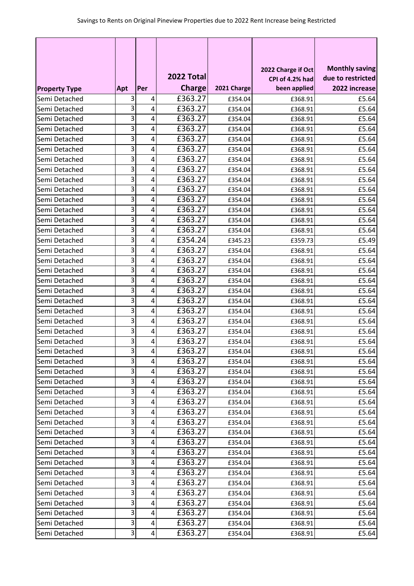|                      |     |     |               |             | 2022 Charge if Oct | <b>Monthly saving</b> |
|----------------------|-----|-----|---------------|-------------|--------------------|-----------------------|
|                      |     |     | 2022 Total    |             | CPI of 4.2% had    | due to restricted     |
| <b>Property Type</b> | Apt | Per | <b>Charge</b> | 2021 Charge | been applied       | 2022 increase         |
| Semi Detached        | 3   | 4   | £363.27       | £354.04     | £368.91            | £5.64                 |
| Semi Detached        | 3   | 4   | £363.27       | £354.04     | £368.91            | £5.64                 |
| Semi Detached        | 3   | 4   | £363.27       | £354.04     | £368.91            | £5.64                 |
| Semi Detached        | 3   | 4   | £363.27       | £354.04     | £368.91            | £5.64                 |
| Semi Detached        | 3   | 4   | £363.27       | £354.04     | £368.91            | £5.64                 |
| Semi Detached        | 3   | 4   | £363.27       | £354.04     | £368.91            | £5.64                 |
| Semi Detached        | 3   | 4   | £363.27       | £354.04     | £368.91            | £5.64                 |
| Semi Detached        | 3   | 4   | £363.27       | £354.04     | £368.91            | £5.64                 |
| Semi Detached        | 3   | 4   | £363.27       | £354.04     | £368.91            | £5.64                 |
| Semi Detached        | 3   | 4   | £363.27       | £354.04     | £368.91            | £5.64                 |
| Semi Detached        | 3   | 4   | £363.27       | £354.04     | £368.91            | £5.64                 |
| Semi Detached        | 3   | 4   | £363.27       | £354.04     | £368.91            | £5.64                 |
| Semi Detached        | 3   | 4   | £363.27       | £354.04     | £368.91            | £5.64                 |
| Semi Detached        | 3   | 4   | £363.27       | £354.04     | £368.91            | £5.64                 |
| Semi Detached        | 3   | 4   | £354.24       | £345.23     | £359.73            | £5.49                 |
| Semi Detached        | 3   | 4   | £363.27       | £354.04     | £368.91            | £5.64                 |
| Semi Detached        | 3   | 4   | £363.27       | £354.04     | £368.91            | £5.64                 |
| Semi Detached        | 3   | 4   | £363.27       | £354.04     | £368.91            | £5.64                 |
| Semi Detached        | 3   | 4   | £363.27       | £354.04     | £368.91            | £5.64                 |
| Semi Detached        | 3   | 4   | £363.27       | £354.04     | £368.91            | £5.64                 |
| Semi Detached        | 3   | 4   | £363.27       | £354.04     | £368.91            | £5.64                 |
| Semi Detached        | 3   | 4   | £363.27       | £354.04     | £368.91            | £5.64                 |
| Semi Detached        | 3   | 4   | £363.27       | £354.04     | £368.91            | £5.64                 |
| Semi Detached        | 3   | 4   | £363.27       | £354.04     | £368.91            | £5.64                 |
| Semi Detached        | 3   | 4   | £363.27       | £354.04     | £368.91            | £5.64                 |
| Semi Detached        | 3   | 4   | £363.27       | £354.04     | £368.91            | £5.64                 |
| Semi Detached        | 3   | 4   | £363.27       | £354.04     | £368.91            | £5.64                 |
| Semi Detached        | 3   | 4   | £363.27       | £354.04     | £368.91            | £5.64                 |
| Semi Detached        | 3   | 4   | £363.27       | £354.04     | £368.91            | £5.64                 |
| Semi Detached        | 3   | 4   | £363.27       | £354.04     | £368.91            | £5.64                 |
| Semi Detached        | 3   | 4   | £363.27       | £354.04     | £368.91            | £5.64                 |
| Semi Detached        | 3   | 4   | £363.27       | £354.04     | £368.91            | £5.64                 |
| Semi Detached        | 3   | 4   | £363.27       | £354.04     | £368.91            | £5.64                 |
| Semi Detached        | 3   | 4   | £363.27       | £354.04     | £368.91            | £5.64                 |
| Semi Detached        | 3   | 4   | £363.27       | £354.04     | £368.91            | £5.64                 |
| Semi Detached        | 3   | 4   | £363.27       | £354.04     | £368.91            | £5.64                 |
| Semi Detached        | 3   | 4   | £363.27       | £354.04     | £368.91            | £5.64                 |
| Semi Detached        | 3   | 4   | £363.27       | £354.04     | £368.91            | £5.64                 |
| Semi Detached        | 3   | 4   | £363.27       | £354.04     | £368.91            | £5.64                 |
| Semi Detached        | 3   | 4   | £363.27       | £354.04     | £368.91            | £5.64                 |
| Semi Detached        | 3   | 4   | £363.27       | £354.04     | £368.91            | £5.64                 |
| Semi Detached        | 3   | 4   | £363.27       | £354.04     | £368.91            | £5.64                 |
| Semi Detached        | 3   | 4   | £363.27       | £354.04     | £368.91            | £5.64                 |
| Semi Detached        | 3   | 4   | £363.27       | £354.04     | £368.91            | £5.64                 |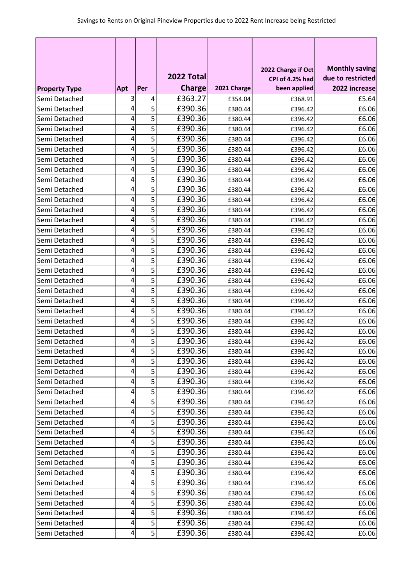|                      |     |                | 2022 Total    |             | 2022 Charge if Oct<br>CPI of 4.2% had | <b>Monthly saving</b><br>due to restricted |
|----------------------|-----|----------------|---------------|-------------|---------------------------------------|--------------------------------------------|
| <b>Property Type</b> | Apt | Per            | <b>Charge</b> | 2021 Charge | been applied                          | 2022 increase                              |
| Semi Detached        | 3   | 4              | £363.27       | £354.04     | £368.91                               | £5.64                                      |
| Semi Detached        | 4   | 5              | £390.36       | £380.44     | £396.42                               | £6.06                                      |
| Semi Detached        | 4   | 5              | £390.36       | £380.44     | £396.42                               | £6.06                                      |
| Semi Detached        | 4   | 5              | £390.36       | £380.44     | £396.42                               | £6.06                                      |
| Semi Detached        | 4   | 5              | £390.36       | £380.44     | £396.42                               | £6.06                                      |
| Semi Detached        | 4   | 5              | £390.36       | £380.44     | £396.42                               | £6.06                                      |
| Semi Detached        | 4   | 5              | £390.36       | £380.44     | £396.42                               | £6.06                                      |
| Semi Detached        | 4   | 5              | £390.36       | £380.44     | £396.42                               | £6.06                                      |
| Semi Detached        | 4   | 5              | £390.36       | £380.44     | £396.42                               | £6.06                                      |
| Semi Detached        | 4   | 5              | £390.36       | £380.44     | £396.42                               | £6.06                                      |
| Semi Detached        | 4   | 5              | £390.36       | £380.44     | £396.42                               | £6.06                                      |
| Semi Detached        | 4   | 5              | £390.36       | £380.44     | £396.42                               | £6.06                                      |
| Semi Detached        | 4   | 5              | £390.36       | £380.44     | £396.42                               | £6.06                                      |
| Semi Detached        | 4   | 5              | £390.36       | £380.44     | £396.42                               | £6.06                                      |
| Semi Detached        | 4   | 5              | £390.36       | £380.44     | £396.42                               | £6.06                                      |
| Semi Detached        | 4   | 5              | £390.36       | £380.44     | £396.42                               | £6.06                                      |
| Semi Detached        | 4   | 5              | £390.36       | £380.44     | £396.42                               | £6.06                                      |
| Semi Detached        | 4   | 5              | £390.36       | £380.44     | £396.42                               | £6.06                                      |
| Semi Detached        | 4   | 5              | £390.36       | £380.44     | £396.42                               | £6.06                                      |
| Semi Detached        | 4   | 5              | £390.36       | £380.44     | £396.42                               | £6.06                                      |
| Semi Detached        | 4   | 5              | £390.36       | £380.44     | £396.42                               | £6.06                                      |
| Semi Detached        | 4   | 5              | £390.36       | £380.44     | £396.42                               | £6.06                                      |
| Semi Detached        | 4   | 5              | £390.36       | £380.44     | £396.42                               | £6.06                                      |
| Semi Detached        | 4   | 5              | £390.36       | £380.44     | £396.42                               | £6.06                                      |
| Semi Detached        | 4   | 5              | £390.36       | £380.44     | £396.42                               | £6.06                                      |
| Semi Detached        | 4   | 5              | £390.36       | £380.44     | £396.42                               | £6.06                                      |
| Semi Detached        | 4   | 5              | £390.36       | £380.44     | £396.42                               | £6.06                                      |
| Semi Detached        | 4   | 5              | £390.36       | £380.44     | £396.42                               | £6.06                                      |
| Semi Detached        | 4   | 5              | £390.36       | £380.44     | £396.42                               | £6.06                                      |
| Semi Detached        | 4   | 5              | £390.36       | £380.44     | £396.42                               | £6.06                                      |
| Semi Detached        | 4   | 5              | £390.36       | £380.44     | £396.42                               | £6.06                                      |
| Semi Detached        | 4   | 5              | £390.36       | £380.44     | £396.42                               | £6.06                                      |
| Semi Detached        | 4   | 5              | £390.36       | £380.44     | £396.42                               | £6.06                                      |
| Semi Detached        | 4   | 5              | £390.36       | £380.44     | £396.42                               | £6.06                                      |
| Semi Detached        | 4   | 5              | £390.36       | £380.44     | £396.42                               | £6.06                                      |
| Semi Detached        | 4   | 5              | £390.36       | £380.44     | £396.42                               | £6.06                                      |
| Semi Detached        | 4   | 5              | £390.36       | £380.44     | £396.42                               | £6.06                                      |
| Semi Detached        | 4   | 5              | £390.36       | £380.44     | £396.42                               | £6.06                                      |
| Semi Detached        | 4   | 5              | £390.36       | £380.44     | £396.42                               | £6.06                                      |
| Semi Detached        | 4   | 5              | £390.36       | £380.44     | £396.42                               | £6.06                                      |
| Semi Detached        | 4   | 5              | £390.36       | £380.44     | £396.42                               | £6.06                                      |
| Semi Detached        | 4   | 5              | £390.36       | £380.44     | £396.42                               | £6.06                                      |
| Semi Detached        | 4   | 5              | £390.36       | £380.44     | £396.42                               | £6.06                                      |
| Semi Detached        | 4   | 5 <sup>1</sup> | £390.36       | £380.44     | £396.42                               | £6.06                                      |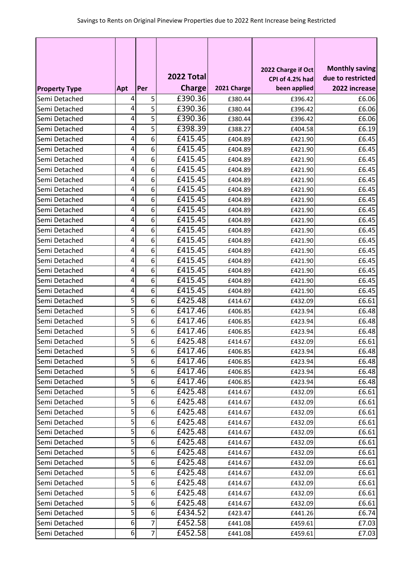|                      |                  |                |               |             |                                       | <b>Monthly saving</b> |
|----------------------|------------------|----------------|---------------|-------------|---------------------------------------|-----------------------|
|                      |                  |                | 2022 Total    |             | 2022 Charge if Oct<br>CPI of 4.2% had | due to restricted     |
| <b>Property Type</b> | Apt              | Per            | <b>Charge</b> | 2021 Charge | been applied                          | 2022 increase         |
| Semi Detached        | 4                | 5              | £390.36       | £380.44     | £396.42                               | £6.06                 |
| Semi Detached        | 4                | 5              | £390.36       | £380.44     | £396.42                               | £6.06                 |
| Semi Detached        | 4                | 5              | £390.36       | £380.44     | £396.42                               | £6.06                 |
| Semi Detached        | 4                | 5              | £398.39       | £388.27     | £404.58                               | £6.19                 |
| Semi Detached        | 4                | 6              | £415.45       | £404.89     | £421.90                               | £6.45                 |
| Semi Detached        | 4                | 6              | £415.45       | £404.89     | £421.90                               | £6.45                 |
| Semi Detached        | 4                | 6              | £415.45       | £404.89     | £421.90                               | £6.45                 |
| Semi Detached        | 4                | 6              | £415.45       | £404.89     | £421.90                               | £6.45                 |
| Semi Detached        | 4                | 6              | £415.45       | £404.89     | £421.90                               | £6.45                 |
| Semi Detached        | 4                | 6              | £415.45       | £404.89     | £421.90                               | £6.45                 |
| Semi Detached        | 4                | 6              | £415.45       | £404.89     | £421.90                               | £6.45                 |
| Semi Detached        | 4                | 6              | £415.45       | £404.89     | £421.90                               | £6.45                 |
| Semi Detached        | 4                | 6              | £415.45       | £404.89     | £421.90                               | £6.45                 |
| Semi Detached        | 4                | 6              | £415.45       | £404.89     | £421.90                               | £6.45                 |
| Semi Detached        | 4                | 6              | £415.45       | £404.89     | £421.90                               | £6.45                 |
| Semi Detached        | 4                | 6              | £415.45       | £404.89     | £421.90                               | £6.45                 |
| Semi Detached        | 4                | 6              | £415.45       | £404.89     | £421.90                               | £6.45                 |
| Semi Detached        | 4                | 6              | £415.45       | £404.89     | £421.90                               | £6.45                 |
| Semi Detached        | 4                | 6              | £415.45       | £404.89     | £421.90                               | £6.45                 |
| Semi Detached        | 4                | 6              | £415.45       | £404.89     | £421.90                               | £6.45                 |
| Semi Detached        | 5                | 6              | £425.48       | £414.67     | £432.09                               | £6.61                 |
| Semi Detached        | 5                | 6              | £417.46       | £406.85     | £423.94                               | £6.48                 |
| Semi Detached        | 5                | 6              | £417.46       | £406.85     | £423.94                               | £6.48                 |
| Semi Detached        | 5                | 6              | £417.46       | £406.85     | £423.94                               | £6.48                 |
| Semi Detached        | 5                | 6              | £425.48       | £414.67     | £432.09                               | £6.61                 |
| Semi Detached        | 5                | 6              | £417.46       | £406.85     | £423.94                               | £6.48                 |
| Semi Detached        | 5                | 6              | £417.46       | £406.85     | £423.94                               | £6.48                 |
| Semi Detached        | 5                | 6              | £417.46       | £406.85     | £423.94                               | £6.48                 |
| Semi Detached        | 5                | 6              | £417.46       | £406.85     | £423.94                               | £6.48                 |
| Semi Detached        | 5                | 6              | £425.48       | £414.67     | £432.09                               | £6.61                 |
| Semi Detached        | 5                | 6              | £425.48       | £414.67     | £432.09                               | £6.61                 |
| Semi Detached        | 5                | 6              | £425.48       | £414.67     | £432.09                               | £6.61                 |
| Semi Detached        | 5                | 6              | £425.48       | £414.67     | £432.09                               | £6.61                 |
| Semi Detached        | 5                | 6              | £425.48       | £414.67     | £432.09                               | £6.61                 |
| Semi Detached        | 5                | 6              | £425.48       | £414.67     | £432.09                               | £6.61                 |
| Semi Detached        | 5                | 6              | £425.48       | £414.67     | £432.09                               | £6.61                 |
| Semi Detached        | 5                | 6              | £425.48       | £414.67     | £432.09                               | £6.61                 |
| Semi Detached        | 5                | 6              | £425.48       | £414.67     | £432.09                               | £6.61                 |
| Semi Detached        | 5                | 6              | £425.48       | £414.67     | £432.09                               | £6.61                 |
| Semi Detached        | 5                | 6              | £425.48       | £414.67     | £432.09                               | £6.61                 |
| Semi Detached        | 5                | 6              | £425.48       | £414.67     | £432.09                               | £6.61                 |
| Semi Detached        | 5                | 6              | £434.52       | £423.47     | £441.26                               | £6.74                 |
| Semi Detached        | 6                | 7              | £452.58       | £441.08     | £459.61                               | £7.03                 |
| Semi Detached        | $\boldsymbol{6}$ | $\overline{7}$ | £452.58       | £441.08     | £459.61                               | £7.03                 |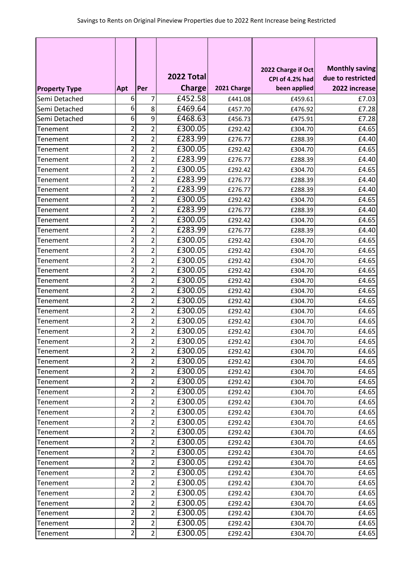|                      |                         |                |               |             | 2022 Charge if Oct | <b>Monthly saving</b> |
|----------------------|-------------------------|----------------|---------------|-------------|--------------------|-----------------------|
|                      |                         |                | 2022 Total    |             | CPI of 4.2% had    | due to restricted     |
| <b>Property Type</b> | Apt                     | Per            | <b>Charge</b> | 2021 Charge | been applied       | 2022 increase         |
| Semi Detached        | 6                       | 7              | £452.58       | £441.08     | £459.61            | £7.03                 |
| Semi Detached        | 6                       | 8              | £469.64       | £457.70     | £476.92            | £7.28                 |
| Semi Detached        | 6                       | 9              | £468.63       | £456.73     | £475.91            | £7.28                 |
| Tenement             | 2                       | 2              | £300.05       | £292.42     | £304.70            | £4.65                 |
| Tenement             | $\overline{2}$          | $\overline{2}$ | £283.99       | £276.77     | £288.39            | £4.40                 |
| Tenement             | 2                       | $\overline{2}$ | £300.05       | £292.42     | £304.70            | £4.65                 |
| Tenement             | 2                       | $\overline{2}$ | £283.99       | £276.77     | £288.39            | £4.40                 |
| Tenement             | 2                       | $\overline{2}$ | £300.05       | £292.42     | £304.70            | £4.65                 |
| Tenement             | 2                       | $\overline{2}$ | £283.99       | £276.77     | £288.39            | £4.40                 |
| <b>Tenement</b>      | 2                       | 2              | £283.99       | £276.77     | £288.39            | £4.40                 |
| Tenement             | 2                       | $\overline{2}$ | £300.05       | £292.42     | £304.70            | £4.65                 |
| Tenement             | $\overline{2}$          | 2              | £283.99       | £276.77     | £288.39            | £4.40                 |
| Tenement             | $\overline{2}$          | $\overline{2}$ | £300.05       | £292.42     | £304.70            | £4.65                 |
| Tenement             | 2                       | $\overline{2}$ | £283.99       | £276.77     | £288.39            | £4.40                 |
| <b>Tenement</b>      | 2                       | 2              | £300.05       | £292.42     | £304.70            | £4.65                 |
| Tenement             | 2                       | $\overline{2}$ | £300.05       | £292.42     | £304.70            | £4.65                 |
| Tenement             | $\overline{2}$          | $\overline{2}$ | £300.05       | £292.42     | £304.70            | £4.65                 |
| Tenement             | $\overline{2}$          | $\overline{2}$ | £300.05       | £292.42     | £304.70            | £4.65                 |
| Tenement             | 2                       | $\overline{2}$ | £300.05       | £292.42     | £304.70            | £4.65                 |
| Tenement             | 2                       | $\overline{2}$ | £300.05       | £292.42     | £304.70            | £4.65                 |
| Tenement             | $\overline{2}$          | 2              | £300.05       | £292.42     | £304.70            | £4.65                 |
| <b>Tenement</b>      | 2                       | $\overline{2}$ | £300.05       | £292.42     | £304.70            | £4.65                 |
| Tenement             | 2                       | 2              | £300.05       | £292.42     | £304.70            | £4.65                 |
| Tenement             | $\overline{2}$          | $\overline{2}$ | £300.05       | £292.42     | £304.70            | £4.65                 |
| Tenement             | 2                       | $\overline{2}$ | £300.05       | £292.42     | £304.70            | £4.65                 |
| Tenement             | $\mathbf{z}$            | $\mathbf{r}$   | £300.05       | £292.42     | £304.70            | £4.65                 |
| Tenement             | $\overline{2}$          | $\overline{2}$ | £300.05       | £292.42     | £304.70            | £4.65                 |
| Tenement             | $\overline{\mathbf{c}}$ | 2              | £300.05       | £292.42     | £304.70            | £4.65                 |
| Tenement             | 2                       | 2              | £300.05       | £292.42     | £304.70            | £4.65                 |
| Tenement             | $\overline{2}$          | $\overline{2}$ | £300.05       | £292.42     | £304.70            | £4.65                 |
| Tenement             | $\overline{2}$          | $\overline{2}$ | £300.05       | £292.42     | £304.70            | £4.65                 |
| Tenement             | $\overline{2}$          | $\overline{2}$ | £300.05       | £292.42     | £304.70            | £4.65                 |
| Tenement             | 2                       | 2              | £300.05       | £292.42     | £304.70            | £4.65                 |
| Tenement             | $\overline{2}$          | $\overline{2}$ | £300.05       | £292.42     | £304.70            | £4.65                 |
| Tenement             | $\overline{\mathbf{c}}$ | 2              | £300.05       | £292.42     | £304.70            | £4.65                 |
| Tenement             | $\overline{\mathbf{c}}$ | 2              | £300.05       | £292.42     | £304.70            | £4.65                 |
| Tenement             | $\overline{2}$          | $\overline{2}$ | £300.05       | £292.42     | £304.70            | £4.65                 |
| Tenement             | 2                       | $\overline{2}$ | £300.05       | £292.42     | £304.70            | £4.65                 |
| Tenement             | $\overline{2}$          | 2              | £300.05       | £292.42     | £304.70            | £4.65                 |
| Tenement             | $\overline{2}$          | $\overline{2}$ | £300.05       | £292.42     | £304.70            | £4.65                 |
| <b>Tenement</b>      | $\overline{\mathbf{c}}$ | $\overline{2}$ | £300.05       | £292.42     | £304.70            | £4.65                 |
| Tenement             | 2                       | 2              | £300.05       | £292.42     | £304.70            | £4.65                 |
| Tenement             | $\overline{2}$          | $\overline{2}$ | £300.05       | £292.42     | £304.70            | £4.65                 |
| Tenement             | $\overline{2}$          | $\overline{2}$ | £300.05       | £292.42     | £304.70            | £4.65                 |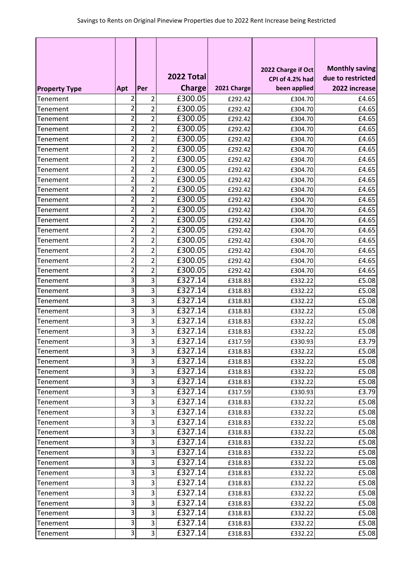|                      |                |                |               |             | 2022 Charge if Oct | <b>Monthly saving</b> |
|----------------------|----------------|----------------|---------------|-------------|--------------------|-----------------------|
|                      |                |                | 2022 Total    |             | CPI of 4.2% had    | due to restricted     |
| <b>Property Type</b> | Apt            | Per            | <b>Charge</b> | 2021 Charge | been applied       | 2022 increase         |
| Tenement             | 2              | $\overline{2}$ | £300.05       | £292.42     | £304.70            | £4.65                 |
| Tenement             | 2              | 2              | £300.05       | £292.42     | £304.70            | £4.65                 |
| <b>Tenement</b>      | 2              | 2              | £300.05       | £292.42     | £304.70            | £4.65                 |
| Tenement             | 2              | $\overline{2}$ | £300.05       | £292.42     | £304.70            | £4.65                 |
| Tenement             | $\overline{2}$ | $\overline{2}$ | £300.05       | £292.42     | £304.70            | £4.65                 |
| Tenement             | 2              | $\overline{2}$ | £300.05       | £292.42     | £304.70            | £4.65                 |
| Tenement             | 2              | 2              | £300.05       | £292.42     | £304.70            | £4.65                 |
| Tenement             | $\overline{2}$ | $\overline{2}$ | £300.05       | £292.42     | £304.70            | £4.65                 |
| Tenement             | 2              | $\overline{2}$ | £300.05       | £292.42     | £304.70            | £4.65                 |
| Tenement             | 2              | 2              | £300.05       | £292.42     | £304.70            | £4.65                 |
| Tenement             | $\overline{2}$ | $\overline{2}$ | £300.05       | £292.42     | £304.70            | £4.65                 |
| Tenement             | 2              | $\overline{2}$ | £300.05       | £292.42     | £304.70            | £4.65                 |
| Tenement             | 2              | $\overline{2}$ | £300.05       | £292.42     | £304.70            | £4.65                 |
| Tenement             | $\overline{2}$ | $\overline{2}$ | £300.05       | £292.42     | £304.70            | £4.65                 |
| <b>Tenement</b>      | 2              | $\overline{2}$ | £300.05       | £292.42     | £304.70            | £4.65                 |
| Tenement             | $\overline{2}$ | $\overline{2}$ | £300.05       | £292.42     | £304.70            | £4.65                 |
| Tenement             | $\overline{2}$ | $\overline{2}$ | £300.05       | £292.42     | £304.70            | £4.65                 |
| Tenement             | $\overline{2}$ | $\overline{2}$ | £300.05       | £292.42     | £304.70            | £4.65                 |
| Tenement             | 3              | 3              | £327.14       | £318.83     | £332.22            | £5.08                 |
| Tenement             | 3              | 3              | £327.14       | £318.83     | £332.22            | £5.08                 |
| Tenement             | 3              | 3              | £327.14       | £318.83     | £332.22            | £5.08                 |
| <b>Tenement</b>      | 3              | 3              | £327.14       | £318.83     | £332.22            | £5.08                 |
| Tenement             | 3              | 3              | £327.14       | £318.83     | £332.22            | £5.08                 |
| Tenement             | 3              | 3              | £327.14       | £318.83     | £332.22            | £5.08                 |
| Tenement             | 3              | 3              | £327.14       | £317.59     | £330.93            | £3.79                 |
| Tenement             | 3              | 3              | £327.14       | £318.83     | £332.22            | £5.08                 |
| Tenement             | 3              | 3              | £327.14       | £318.83     | £332.22            | £5.08                 |
| Tenement             | 3              | 3              | £327.14       | £318.83     | £332.22            | £5.08                 |
| Tenement             | 3              | 3              | £327.14       | £318.83     | £332.22            | £5.08                 |
| Tenement             | 3              | 3              | £327.14       | £317.59     | £330.93            | £3.79                 |
| Tenement             | 3              | 3              | £327.14       | £318.83     | £332.22            | £5.08                 |
| Tenement             | 3              | 3              | £327.14       | £318.83     | £332.22            | £5.08                 |
| Tenement             | 3              | 3              | £327.14       | £318.83     | £332.22            | £5.08                 |
| Tenement             | 3              | 3              | £327.14       | £318.83     | £332.22            | £5.08                 |
| Tenement             | 3              | 3              | £327.14       | £318.83     | £332.22            | £5.08                 |
| Tenement             | 3              | 3              | £327.14       | £318.83     | £332.22            | £5.08                 |
| Tenement             | 3              | 3              | £327.14       | £318.83     | £332.22            | £5.08                 |
| Tenement             | 3              | 3              | £327.14       | £318.83     | £332.22            | £5.08                 |
| Tenement             | 3              | 3              | £327.14       | £318.83     | £332.22            | £5.08                 |
| Tenement             | 3              | 3              | £327.14       | £318.83     | £332.22            | £5.08                 |
| Tenement             | 3              | 3              | £327.14       | £318.83     | £332.22            | £5.08                 |
| Tenement             | 3              | 3              | £327.14       | £318.83     | £332.22            | £5.08                 |
| Tenement             | 3              | 3              | £327.14       | £318.83     | £332.22            | £5.08                 |
| Tenement             | 3              | 3              | £327.14       | £318.83     | £332.22            | £5.08                 |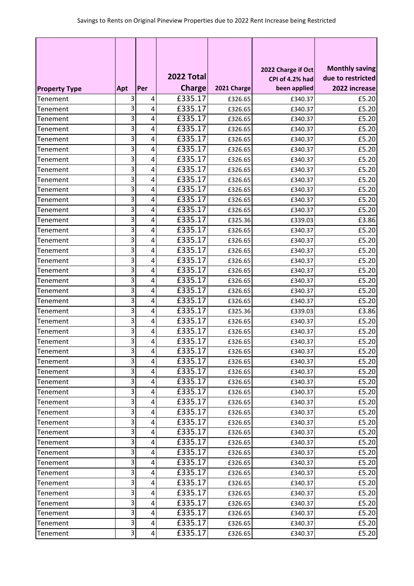|                      |     |     |               |             | 2022 Charge if Oct | <b>Monthly saving</b> |
|----------------------|-----|-----|---------------|-------------|--------------------|-----------------------|
|                      |     |     | 2022 Total    |             | CPI of 4.2% had    | due to restricted     |
| <b>Property Type</b> | Apt | Per | <b>Charge</b> | 2021 Charge | been applied       | 2022 increase         |
| Tenement             | 3   | 4   | £335.17       | £326.65     | £340.37            | £5.20                 |
| Tenement             | 3   | 4   | £335.17       | £326.65     | £340.37            | £5.20                 |
| <b>Tenement</b>      | 3   | 4   | £335.17       | £326.65     | £340.37            | £5.20                 |
| Tenement             | 3   | 4   | £335.17       | £326.65     | £340.37            | £5.20                 |
| Tenement             | 3   | 4   | £335.17       | £326.65     | £340.37            | £5.20                 |
| Tenement             | 3   | 4   | £335.17       | £326.65     | £340.37            | £5.20                 |
| Tenement             | 3   | 4   | £335.17       | £326.65     | £340.37            | £5.20                 |
| Tenement             | 3   | 4   | £335.17       | £326.65     | £340.37            | £5.20                 |
| Tenement             | 3   | 4   | £335.17       | £326.65     | £340.37            | £5.20                 |
| Tenement             | 3   | 4   | £335.17       | £326.65     | £340.37            | £5.20                 |
| Tenement             | 3   | 4   | £335.17       | £326.65     | £340.37            | £5.20                 |
| Tenement             | 3   | 4   | £335.17       | £326.65     | £340.37            | £5.20                 |
| Tenement             | 3   | 4   | £335.17       | £325.36     | £339.03            | £3.86                 |
| Tenement             | 3   | 4   | £335.17       | £326.65     | £340.37            | £5.20                 |
| <b>Tenement</b>      | 3   | 4   | £335.17       | £326.65     | £340.37            | £5.20                 |
| Tenement             | 3   | 4   | £335.17       | £326.65     | £340.37            | £5.20                 |
| Tenement             | 3   | 4   | £335.17       | £326.65     | £340.37            | £5.20                 |
| Tenement             | 3   | 4   | £335.17       | £326.65     | £340.37            | £5.20                 |
| Tenement             | 3   | 4   | £335.17       | £326.65     | £340.37            | £5.20                 |
| Tenement             | 3   | 4   | £335.17       | £326.65     | £340.37            | £5.20                 |
| Tenement             | 3   | 4   | £335.17       | £326.65     | £340.37            | £5.20                 |
| <b>Tenement</b>      | 3   | 4   | £335.17       | £325.36     | £339.03            | £3.86                 |
| Tenement             | 3   | 4   | £335.17       | £326.65     | £340.37            | £5.20                 |
| Tenement             | 3   | 4   | £335.17       | £326.65     | £340.37            | £5.20                 |
| Tenement             | 3   | 4   | £335.17       | £326.65     | £340.37            | £5.20                 |
| Tenement             | 3   | 4   | £335.17       | £326.65     | £340.37            | £5.20                 |
| Tenement             | 3   | 4   | £335.17       | £326.65     | £340.37            | £5.20                 |
| Tenement             | 3   | 4   | £335.17       | £326.65     | £340.37            | £5.20                 |
| Tenement             | 3   | 4   | £335.17       | £326.65     | £340.37            | £5.20                 |
| Tenement             | 3   | 4   | £335.17       | £326.65     | £340.37            | £5.20                 |
| Tenement             | 3   | 4   | £335.17       | £326.65     | £340.37            | £5.20                 |
| Tenement             | 3   | 4   | £335.17       | £326.65     | £340.37            | £5.20                 |
| Tenement             | 3   | 4   | £335.17       | £326.65     | £340.37            | £5.20                 |
| Tenement             | 3   | 4   | £335.17       | £326.65     | £340.37            | £5.20                 |
| Tenement             | 3   | 4   | £335.17       | £326.65     | £340.37            | £5.20                 |
| Tenement             | 3   | 4   | £335.17       | £326.65     | £340.37            | £5.20                 |
| Tenement             | 3   | 4   | £335.17       | £326.65     | £340.37            | £5.20                 |
| Tenement             | 3   | 4   | £335.17       | £326.65     | £340.37            | £5.20                 |
| Tenement             | 3   | 4   | £335.17       | £326.65     | £340.37            | £5.20                 |
| Tenement             | 3   | 4   | £335.17       | £326.65     | £340.37            | £5.20                 |
| Tenement             | 3   | 4   | £335.17       | £326.65     | £340.37            | £5.20                 |
| Tenement             | 3   | 4   | £335.17       | £326.65     | £340.37            | £5.20                 |
| Tenement             | 3   | 4   | £335.17       | £326.65     | £340.37            | £5.20                 |
| Tenement             | 3   | 4   | £335.17       | £326.65     | £340.37            | £5.20                 |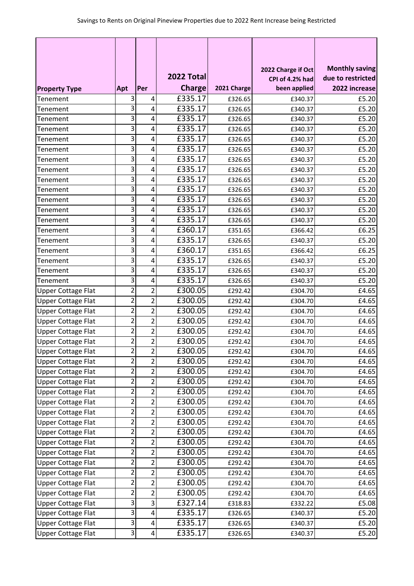|                           |                         |                |               |             |                                       | <b>Monthly saving</b> |
|---------------------------|-------------------------|----------------|---------------|-------------|---------------------------------------|-----------------------|
|                           |                         |                | 2022 Total    |             | 2022 Charge if Oct<br>CPI of 4.2% had | due to restricted     |
| <b>Property Type</b>      | Apt                     | Per            | <b>Charge</b> | 2021 Charge | been applied                          | 2022 increase         |
| Tenement                  | 3                       | 4              | £335.17       | £326.65     | £340.37                               | £5.20                 |
| Tenement                  | 3                       | 4              | £335.17       | £326.65     | £340.37                               | £5.20                 |
| Tenement                  | 3                       | 4              | £335.17       | £326.65     | £340.37                               | £5.20                 |
| Tenement                  | 3                       | 4              | £335.17       | £326.65     | £340.37                               | £5.20                 |
| Tenement                  | 3                       | 4              | E335.17       | £326.65     | £340.37                               | £5.20                 |
| Tenement                  | 3                       | 4              | £335.17       | £326.65     | £340.37                               | £5.20                 |
| Tenement                  | 3                       | 4              | £335.17       | £326.65     | £340.37                               | £5.20                 |
| Tenement                  | 3                       | 4              | £335.17       | £326.65     | £340.37                               | £5.20                 |
| Tenement                  | 3                       | 4              | £335.17       | £326.65     | £340.37                               | £5.20                 |
| <b>Tenement</b>           | 3                       | 4              | £335.17       | £326.65     | £340.37                               | £5.20                 |
| Tenement                  | 3                       | 4              | £335.17       | £326.65     | £340.37                               | £5.20                 |
| Tenement                  | 3                       | 4              | £335.17       | £326.65     | £340.37                               | £5.20                 |
| Tenement                  | 3                       | 4              | £335.17       | £326.65     | £340.37                               | £5.20                 |
| Tenement                  | 3                       | 4              | £360.17       | £351.65     | £366.42                               | £6.25                 |
| <b>Tenement</b>           | 3                       | 4              | £335.17       | £326.65     | £340.37                               | £5.20                 |
| Tenement                  | 3                       | 4              | £360.17       | £351.65     | £366.42                               | £6.25                 |
| Tenement                  | 3                       | 4              | £335.17       | £326.65     | £340.37                               | £5.20                 |
| Tenement                  | 3                       | 4              | £335.17       | £326.65     | £340.37                               | £5.20                 |
| Tenement                  | 3                       | 4              | £335.17       | £326.65     | £340.37                               | £5.20                 |
| <b>Upper Cottage Flat</b> | 2                       | 2              | £300.05       | £292.42     | £304.70                               | £4.65                 |
| <b>Upper Cottage Flat</b> | $\overline{2}$          | $\overline{2}$ | £300.05       | £292.42     | £304.70                               | £4.65                 |
| <b>Upper Cottage Flat</b> | 2                       | $\overline{2}$ | £300.05       | £292.42     | £304.70                               | £4.65                 |
| <b>Upper Cottage Flat</b> | $\overline{2}$          | $\overline{2}$ | £300.05       | £292.42     | £304.70                               | £4.65                 |
| <b>Upper Cottage Flat</b> | $\overline{2}$          | $\overline{2}$ | £300.05       | £292.42     | £304.70                               | £4.65                 |
| <b>Upper Cottage Flat</b> | 2                       | $\overline{2}$ | £300.05       | £292.42     | £304.70                               | £4.65                 |
| Upper Cottage Flat        | $\mathbf{z}$            | 2              | £300.05       | £292.42     | £304.70                               | £4.65                 |
| <b>Upper Cottage Flat</b> | $\overline{2}$          | $\overline{2}$ | £300.05       | £292.42     | £304.70                               | £4.65                 |
| <b>Upper Cottage Flat</b> | $\overline{c}$          | $\overline{2}$ | £300.05       | £292.42     | £304.70                               | £4.65                 |
| <b>Upper Cottage Flat</b> | 2                       | 2              | £300.05       | £292.42     | £304.70                               | £4.65                 |
| <b>Upper Cottage Flat</b> | $\overline{c}$          | $\overline{2}$ | £300.05       | £292.42     | £304.70                               | £4.65                 |
| <b>Upper Cottage Flat</b> | $\mathbf 2$             | $\overline{2}$ | £300.05       | £292.42     | £304.70                               | £4.65                 |
| <b>Upper Cottage Flat</b> | $\overline{2}$          | $\overline{2}$ | £300.05       | £292.42     | £304.70                               | £4.65                 |
| Upper Cottage Flat        | $\overline{c}$          | $\overline{2}$ | £300.05       | £292.42     | £304.70                               | £4.65                 |
| <b>Upper Cottage Flat</b> | $\overline{2}$          | $\overline{2}$ | £300.05       | £292.42     | £304.70                               | £4.65                 |
| <b>Upper Cottage Flat</b> | $\overline{\mathbf{c}}$ | $\overline{2}$ | £300.05       | £292.42     | £304.70                               | £4.65                 |
| <b>Upper Cottage Flat</b> | $\overline{\mathbf{c}}$ | $\overline{2}$ | £300.05       | £292.42     | £304.70                               | £4.65                 |
| <b>Upper Cottage Flat</b> | $\overline{2}$          | $\overline{2}$ | £300.05       | £292.42     | £304.70                               | £4.65                 |
| <b>Upper Cottage Flat</b> | $\overline{2}$          | $\overline{2}$ | £300.05       | £292.42     | £304.70                               | £4.65                 |
| <b>Upper Cottage Flat</b> | $\overline{c}$          | 2              | £300.05       | £292.42     | £304.70                               | £4.65                 |
| <b>Upper Cottage Flat</b> | $\overline{2}$          | $\overline{2}$ | £300.05       | £292.42     | £304.70                               | £4.65                 |
| <b>Upper Cottage Flat</b> | 3                       | 3              | £327.14       | £318.83     | £332.22                               | £5.08                 |
| <b>Upper Cottage Flat</b> | 3                       | 4              | £335.17       | £326.65     | £340.37                               | £5.20                 |
| <b>Upper Cottage Flat</b> | 3                       | 4              | £335.17       | £326.65     | £340.37                               | £5.20                 |
| <b>Upper Cottage Flat</b> | 3                       | 4              | £335.17       | £326.65     | £340.37                               | £5.20                 |